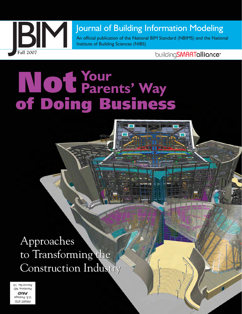

An official publication of the National BIM Standard (NBIMS) and the National Institute of Building Sciences (NIBS)

# **Your** Not **Parents' Way** of Doing Business

Approaches Approaches to Transforming the Construction Industry Construction Industry

PRSRT STD U.S. Postage PAID Pembina, ND Permit No. 14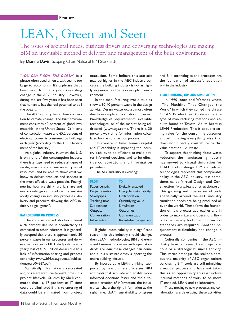## LEAN, Green and Seen

The issues of societal needs, business drivers and converging technologies are making BIM an inevitable method of delivery and management of the built environment

By Dianne Davis, Scoping Chair National BIM Standards

"*YOU CAN'T BOIL THE OCEAN*" is a phrase often used when a task seems too large to accomplish. It's a phrase that's been used for many years regarding change in the AEC industry. However, during the last few years it has been seen that humanity has the real potential to boil the oceans.

The AEC industry has a close connection to climate change. The built environment consumes 40 percent of global raw materials. In the United States 136M tons of construction waste and 65.2 percent of electrical power is consumed by buildings each year (according to the U.S. Department of the Interior).

As a global industry, in which the U.S. is only one of the consumption leaders, there is a huge need to reduce all types of waste, maximize and sustain all types of resources, and be able to show what we know to deliver products and services in the most effective ways possible. Reengineering how we think, work, share and use knowledge can produce the sustainability changes in industry processes, delivery and products allowing the AEC industry to go "green".

#### **BACKGROUND ON PROCESS**

The construction industry has suffered a 20 percent decline in productivity as compared to other industries. It is generally accepted that there is approximately 30 percent waste in our processes and delivery methods and a NIST study calculated a yearly loss of \$15.8 billion dollars due to a lack of information sharing and process continuity (www.bfrl.nist.gov/oae/publications/gcrs/04867.pdf).

Statistically, information is re-created and/or re-entered five to eight times in a project lifecycle. Studies by Shell estimated that 16-17 percent of IT time could be eliminated if this re-entering of data could be eliminated from project execution. Some believe this statistic may be higher in the AEC industry because the building industry is not as highly organized as the process plant environment.

In the manufacturing world studies show a 30-40 percent waste in the design activity. Design waste occurs most often due to incomplete information, imperfect knowledge of requirements, available technologies, or of the market being addressed (www.ugs.com). There is a 30 percent wait-time for information calculated for the construction process.

This waste in time, human capital and IT capability is impacting the industry's ability to be efficient, to make better informed decisions and to be effective collaborators and information providers.

The AEC Industry is evolving:

| <b>FROM</b>          | то                       |
|----------------------|--------------------------|
| Paper-centric        | Digitally enabled        |
| Project-centric      | Lifecycle sustainability |
| <b>Stovepipes</b>    | Collaboration            |
| <b>Tracking time</b> | Quantifying value        |
| Supposition          | Simulation               |
| <b>Outputs</b>       | <b>Outcomes</b>          |
| Conversation         | Communication            |
| Info-centric         | Knowledge management     |

If global sustainability is a significant reason *why* this industry should change, then LEAN methodologies, BIM and e-enabled business processes with open standards are *how* these changes can come about in a sustainable way supporting the entire building lifecycle.

By incorporating LEAN thinking' supported by new business processes, BIM and tools that simulate and enable more informed decisions faster and the automated creation of information, the industry can share the right information at the right time. LEAN, sustainability or green and BIM technologies and processes are the foundation of successful evolution within the industry.

#### **LEAN THINKING, BIM AND SIMULATION**

In 1990 Jones and Womack wrote "The Machine That Changed the World" in which they coined the phrase "LEAN Production" to describe the type of manufacturing methods and results found at Toyota. At its heart is LEAN Production. This is about creating value for the consuming customer and eliminating everything else that does not directly contribute to this value creation, i.e. waste.

To support this thinking about waste reduction, the manufacturing industry has moved to virtual simulation for LEAN product design. BIM and related technologies represent this comparable ability in the AEC industry. It is sometimes called Virtual Design and Construction (www.leanconstruction.org). This growing and diverse set of tools specifically around the AEC industry simulation needs are being produced all over the world. These form the foundation of new process approaches and in order to maximize and operations flexibility to use any tool open information standards are required. Another requirement is flexibility and change in process.

Culturally companies in the AEC industry have not seen IT on projects as core or a strategic business activity. This varies amongst the stakeholders, but the majority of AEC organizations purchasing BIM tools are still mimicking a manual process and have not taken this as an opportunity to re-structure internal methods of work to be more IT enabled, LEAN and collaborative.

Those moving to new processes and collaboration are developing these activities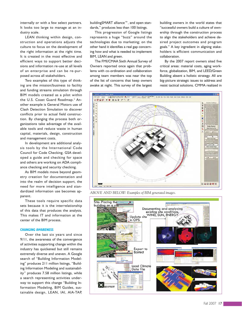internally or with a few select partners. It looks too large to manage at an industry scale.

LEAN thinking within design, construction and operations adjusts the culture to focus on the development of the right information at the right time. It is created in the most effective and efficient ways to support better decisions and information re-use at all levels of an enterprise and can be re-purposed across all stakeholders.

Two examples of this type of thinking are the mission/business to facility and funding streams simulation through BIM models created as a pilot within the U.S. Coast Guard Roadmap.<sup>2</sup> Another example is General Motors use of Clash Detection Simulation to discover conflicts prior to actual field construction. By changing the process both organizations take advantage of the available tools and reduce waste in human capital, materials, design, construction and management costs.

In development are additional analysis tools by the International Code Council for Code Checking. GSA developed a guide and checking for space and others are working on ADA compliance checking and security checking.

As BIM models move beyond geometry creation for documentation and into the realm of decision support, the need for more intelligence and standardized information use becomes apparent.

These tools require specific data sets because it is the interrelationship of this data that produces the analysis. This makes IT and information at the center of the BIM process.

#### **CHANGING AWARENESS**

Over the last six years and since 9/11, the awareness of the convergence of activities supporting change within the industry has quickened but still remains extremely diverse and uneven. A Google search of "Building Information Modeling" produces 211 million listings, "Building Information Modeling and sustainability" produces 7.58 million listings, while a search representing activities underway to support this change "Building Information Modeling, BIM Guides, sustainable design, LEAN, IAI, AIA-TAP,

buildingSMART alliance™, and open standards," produces less than 100 listings.

This progression of Google listings represents a huge "buzz" around the technologies due to marketing; on the other hand it identifies a real gap concerning how and what is needed to implement BIM, LEAN and green.

The FMI/CMAA Sixth Annual Survey of Owners reported once again that problems with co-ordination and collaboration among team members was near the top of the list of concerns that keep owners awake at night. This survey of the largest

building owners in the world states that "successful owners build a culture of ownership through the construction process to align the stakeholders and achieve desired project outcomes and program goals." A key ingredient in aligning stakeholders is efficient communication and collaboration.

By the 2007 report owners sited five critical areas: material costs, aging workforce, globalization, BIM, and LEED/Green Building absent a holistic strategy. All are big-picture strategic issues to address and resist tactical solutions. CMMA realized in



*ABOVE AND BELOW: Examples of BIM generated images.*